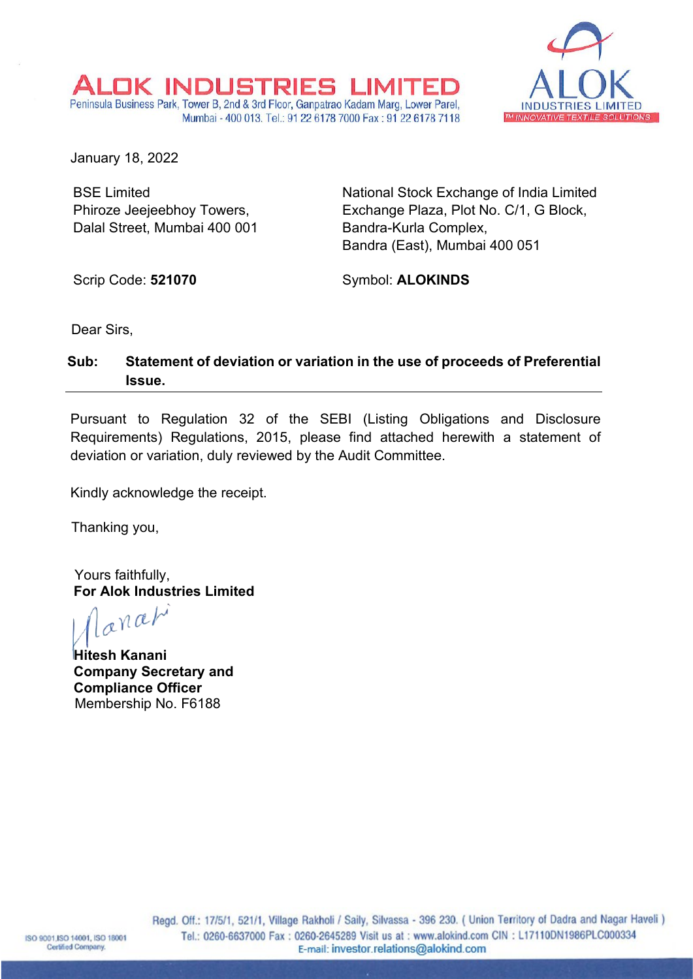

January 18, 2022

BSE Limited Phiroze Jeejeebhoy Towers, Dalal Street, Mumbai 400 001 National Stock Exchange of India Limited Exchange Plaza, Plot No. C/1, G Block, Bandra-Kurla Complex, Bandra (East), Mumbai 400 051

Scrip Code: **521070**

Symbol: **ALOKINDS**

Dear Sirs,

## **Sub: Statement of deviation or variation in the use of proceeds of Preferential Issue.**

OK INDUSTRIES LIMITE. Peninsula Business Park, Tower B, 2nd & 3rd Floor, Ganpatrao Kadam Marg, Lower Parel,

Mumbai - 400 013, Tel.: 91 22 6178 7000 Fax: 91 22 6178 7118

Pursuant to Regulation 32 of the SEBI (Listing Obligations and Disclosure Requirements) Regulations, 2015, please find attached herewith a statement of deviation or variation, duly reviewed by the Audit Committee.

Kindly acknowledge the receipt.

Thanking you,

Yours faithfully, **For Alok Industries Limited**

anati

**Hitesh Kanani Company Secretary and Compliance Officer** Membership No. F6188